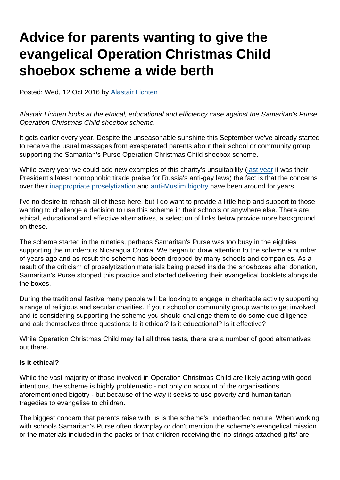# Advice for parents wanting to give the evangelical Operation Christmas Child shoebox scheme a wide berth

Posted: Wed, 12 Oct 2016 by [Alastair Lichten](https://www.secularism.org.uk/opinion/authors/847)

Alastair Lichten looks at the ethical, educational and efficiency case against the Samaritan's Purse Operation Christmas Child shoebox scheme.

It gets earlier every year. Despite the unseasonable sunshine this September we've already started to receive the usual messages from exasperated parents about their school or community group supporting the Samaritan's Purse Operation Christmas Child shoebox scheme.

While every year we could add new examples of this charity's unsuitability [\(last year](http://www.pinknews.co.uk/2015/11/03/charity-head-claims-gay-people-take-children-and-praises-russias-anti-gay-laws/) it was their President's latest homophobic tirade praise for Russia's anti-gay laws) the fact is that the concerns over their [inappropriate proselytization](https://www.theguardian.com/society/2002/dec/18/guardiansocietysupplement7) and [anti-Muslim bigotry](https://www.theguardian.com/world/2003/nov/10/religion.society) have been around for years.

I've no desire to rehash all of these here, but I do want to provide a little help and support to those wanting to challenge a decision to use this scheme in their schools or anywhere else. There are ethical, educational and effective alternatives, a selection of links below provide more background on these.

The scheme started in the nineties, perhaps Samaritan's Purse was too busy in the eighties supporting the murderous Nicaragua Contra. We began to draw attention to the scheme a number of years ago and as result the scheme has been dropped by many schools and companies. As a result of the criticism of proselytization materials being placed inside the shoeboxes after donation, Samaritan's Purse stopped this practice and started delivering their evangelical booklets alongside the boxes.

During the traditional festive many people will be looking to engage in charitable activity supporting a range of religious and secular charities. If your school or community group wants to get involved and is considering supporting the scheme you should challenge them to do some due diligence and ask themselves three questions: Is it ethical? Is it educational? Is it effective?

While Operation Christmas Child may fail all three tests, there are a number of good alternatives out there.

#### Is it ethical?

While the vast majority of those involved in Operation Christmas Child are likely acting with good intentions, the scheme is highly problematic - not only on account of the organisations aforementioned bigotry - but because of the way it seeks to use poverty and humanitarian tragedies to evangelise to children.

The biggest concern that parents raise with us is the scheme's underhanded nature. When working with schools Samaritan's Purse often downplay or don't mention the scheme's evangelical mission or the materials included in the packs or that children receiving the 'no strings attached gifts' are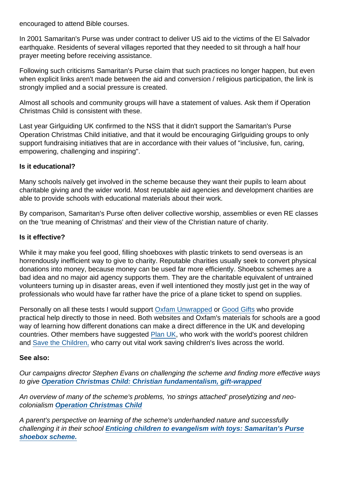encouraged to attend Bible courses.

In 2001 Samaritan's Purse was under contract to deliver US aid to the victims of the El Salvador earthquake. Residents of several villages reported that they needed to sit through a half hour prayer meeting before receiving assistance.

Following such criticisms Samaritan's Purse claim that such practices no longer happen, but even when explicit links aren't made between the aid and conversion / religious participation, the link is strongly implied and a social pressure is created.

Almost all schools and community groups will have a statement of values. Ask them if Operation Christmas Child is consistent with these.

Last year Girlguiding UK confirmed to the NSS that it didn't support the Samaritan's Purse Operation Christmas Child initiative, and that it would be encouraging Girlguiding groups to only support fundraising initiatives that are in accordance with their values of "inclusive, fun, caring, empowering, challenging and inspiring".

#### Is it educational?

Many schools naïvely get involved in the scheme because they want their pupils to learn about charitable giving and the wider world. Most reputable aid agencies and development charities are able to provide schools with educational materials about their work.

By comparison, Samaritan's Purse often deliver collective worship, assemblies or even RE classes on the 'true meaning of Christmas' and their view of the Christian nature of charity.

#### Is it effective?

While it may make you feel good, filling shoeboxes with plastic trinkets to send overseas is an horrendously inefficient way to give to charity. Reputable charities usually seek to convert physical donations into money, because money can be used far more efficiently. Shoebox schemes are a bad idea and no major aid agency supports them. They are the charitable equivalent of untrained volunteers turning up in disaster areas, even if well intentioned they mostly just get in the way of professionals who would have far rather have the price of a plane ticket to spend on supplies.

Personally on all these tests I would support [Oxfam Unwrapped](https://www.oxfam.org.uk/shop/oxfam-unwrapped/) or [Good Gifts](https://www.goodgifts.org/browse-categories/education.html) who provide practical help directly to those in need. Both websites and Oxfam's materials for schools are a good way of learning how different donations can make a direct difference in the UK and developing countries. Other members have suggested [Plan UK](http://www.plan-uk.org/sponsor-a-child/), who work with the world's poorest children and [Save the Children,](http://www.savethechildren.org.uk/) who carry out vital work saving children's lives across the world.

#### See also:

Our campaigns director Stephen Evans on challenging the scheme and finding more effective ways to give [Operation Christmas Child: Christian fundamentalism, gift-wrapped](https://www.secularism.org.uk/blog/2015/11/operation-christmas-child--christian-fundamentalism-gift-wrapped)

An overview of many of the scheme's problems, 'no strings attached' proselytizing and neocolonialism [Operation Christmas Child](https://www.secularism.org.uk/blog/2014/11/operation-christmas-child)

A parent's perspective on learning of the scheme's underhanded nature and successfully challenging it in their school [Enticing children to evangelism with toys: Samaritan's Purse](https://www.secularism.org.uk/blog/2012/10/enticing-children-to-evangelism-with-toys--samaritans-purse-shoebox-scheme) [shoebox scheme.](https://www.secularism.org.uk/blog/2012/10/enticing-children-to-evangelism-with-toys--samaritans-purse-shoebox-scheme)